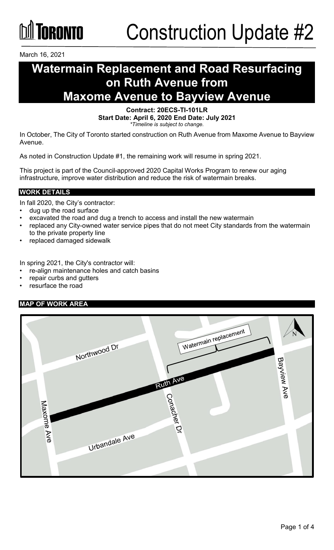

March 16, 2021

### **Watermain Replacement and Road Resurfacing on Ruth Avenue from Maxome Avenue to Bayview Avenue**

**Contract: 20ECS-TI-101LR Start Date: April 6, 2020 End Date: July 2021** *\*Timeline is subject to change.*

In October, The City of Toronto started construction on Ruth Avenue from Maxome Avenue to Bayview Avenue.

As noted in Construction Update #1, the remaining work will resume in spring 2021.

This project is part of the Council-approved 2020 Capital Works Program to renew our aging infrastructure, improve water distribution and reduce the risk of watermain breaks.

#### **WORK DETAILS**

In fall 2020, the City's contractor:

- dug up the road surface
- excavated the road and dug a trench to access and install the new watermain
- replaced any City-owned water service pipes that do not meet City standards from the watermain to the private property line
- replaced damaged sidewalk

In spring 2021, the City's contractor will:

- re-align maintenance holes and catch basins
- repair curbs and gutters
- resurface the road

#### **MAP OF WORK AREA**

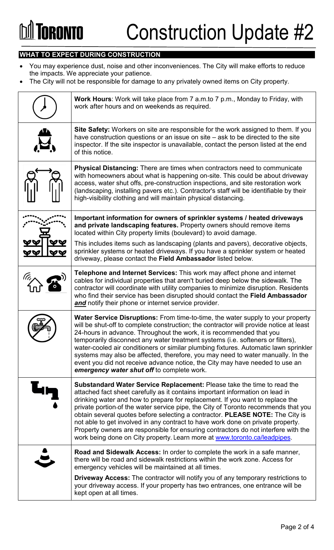# *<u><b>India Toronto</u>*

#### **WHAT TO EXPECT DURING CONSTRUCTION**

- You may experience dust, noise and other inconveniences. The City will make efforts to reduce the impacts. We appreciate your patience.
- The City will not be responsible for damage to any privately owned items on City property.

| <b>Work Hours:</b> Work will take place from 7 a.m.to 7 p.m., Monday to Friday, with<br>work after hours and on weekends as required.                                                                                                                                                                                                                                                                                                                                                                                                                                                                                                                                  |
|------------------------------------------------------------------------------------------------------------------------------------------------------------------------------------------------------------------------------------------------------------------------------------------------------------------------------------------------------------------------------------------------------------------------------------------------------------------------------------------------------------------------------------------------------------------------------------------------------------------------------------------------------------------------|
| Site Safety: Workers on site are responsible for the work assigned to them. If you<br>have construction questions or an issue on site - ask to be directed to the site<br>inspector. If the site inspector is unavailable, contact the person listed at the end<br>of this notice.                                                                                                                                                                                                                                                                                                                                                                                     |
| <b>Physical Distancing:</b> There are times when contractors need to communicate<br>with homeowners about what is happening on-site. This could be about driveway<br>access, water shut offs, pre-construction inspections, and site restoration work<br>(landscaping, installing pavers etc.). Contractor's staff will be identifiable by their<br>high-visibility clothing and will maintain physical distancing.                                                                                                                                                                                                                                                    |
| Important information for owners of sprinkler systems / heated driveways<br>and private landscaping features. Property owners should remove items<br>located within City property limits (boulevard) to avoid damage.                                                                                                                                                                                                                                                                                                                                                                                                                                                  |
| This includes items such as landscaping (plants and pavers), decorative objects,<br>sprinkler systems or heated driveways. If you have a sprinkler system or heated<br>driveway, please contact the Field Ambassador listed below.                                                                                                                                                                                                                                                                                                                                                                                                                                     |
| Telephone and Internet Services: This work may affect phone and internet<br>cables for individual properties that aren't buried deep below the sidewalk. The<br>contractor will coordinate with utility companies to minimize disruption. Residents<br>who find their service has been disrupted should contact the Field Ambassador<br>and notify their phone or internet service provider.                                                                                                                                                                                                                                                                           |
| <b>Water Service Disruptions:</b> From time-to-time, the water supply to your property<br>will be shut-off to complete construction; the contractor will provide notice at least<br>24-hours in advance. Throughout the work, it is recommended that you<br>temporarily disconnect any water treatment systems (i.e. softeners or filters),<br>water-cooled air conditioners or similar plumbing fixtures. Automatic lawn sprinkler<br>systems may also be affected, therefore, you may need to water manually. In the<br>event you did not receive advance notice, the City may have needed to use an<br>emergency water shut off to complete work.                   |
| Substandard Water Service Replacement: Please take the time to read the<br>attached fact sheet carefully as it contains important information on lead in<br>drinking water and how to prepare for replacement. If you want to replace the<br>private portion-of the water service pipe, the City of Toronto recommends that you<br>obtain several quotes before selecting a contractor. PLEASE NOTE: The City is<br>not able to get involved in any contract to have work done on private property.<br>Property owners are responsible for ensuring contractors do not interfere with the<br>work being done on City property. Learn more at www.toronto.ca/leadpipes. |
| <b>Road and Sidewalk Access:</b> In order to complete the work in a safe manner,<br>there will be road and sidewalk restrictions within the work zone. Access for<br>emergency vehicles will be maintained at all times.                                                                                                                                                                                                                                                                                                                                                                                                                                               |
| <b>Driveway Access:</b> The contractor will notify you of any temporary restrictions to<br>your driveway access. If your property has two entrances, one entrance will be<br>kept open at all times.                                                                                                                                                                                                                                                                                                                                                                                                                                                                   |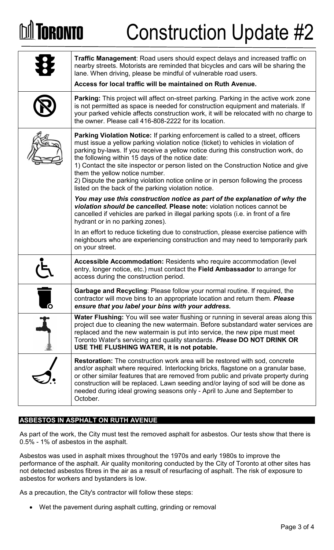## **GRANTA**

# Construction Update #2

|    | Traffic Management: Road users should expect delays and increased traffic on<br>nearby streets. Motorists are reminded that bicycles and cars will be sharing the<br>lane. When driving, please be mindful of vulnerable road users.<br>Access for local traffic will be maintained on Ruth Avenue.                                                                                                                                                                                                                                                                                |  |
|----|------------------------------------------------------------------------------------------------------------------------------------------------------------------------------------------------------------------------------------------------------------------------------------------------------------------------------------------------------------------------------------------------------------------------------------------------------------------------------------------------------------------------------------------------------------------------------------|--|
|    | Parking: This project will affect on-street parking. Parking in the active work zone<br>is not permitted as space is needed for construction equipment and materials. If<br>your parked vehicle affects construction work, it will be relocated with no charge to<br>the owner. Please call 416-808-2222 for its location.                                                                                                                                                                                                                                                         |  |
|    | Parking Violation Notice: If parking enforcement is called to a street, officers<br>must issue a yellow parking violation notice (ticket) to vehicles in violation of<br>parking by-laws. If you receive a yellow notice during this construction work, do<br>the following within 15 days of the notice date:<br>1) Contact the site inspector or person listed on the Construction Notice and give<br>them the yellow notice number.<br>2) Dispute the parking violation notice online or in person following the process<br>listed on the back of the parking violation notice. |  |
|    | You may use this construction notice as part of the explanation of why the<br>violation should be cancelled. Please note: violation notices cannot be<br>cancelled if vehicles are parked in illegal parking spots (i.e. in front of a fire<br>hydrant or in no parking zones).                                                                                                                                                                                                                                                                                                    |  |
|    | In an effort to reduce ticketing due to construction, please exercise patience with<br>neighbours who are experiencing construction and may need to temporarily park<br>on your street.                                                                                                                                                                                                                                                                                                                                                                                            |  |
|    | Accessible Accommodation: Residents who require accommodation (level<br>entry, longer notice, etc.) must contact the Field Ambassador to arrange for<br>access during the construction period.                                                                                                                                                                                                                                                                                                                                                                                     |  |
| ſО | Garbage and Recycling: Please follow your normal routine. If required, the<br>contractor will move bins to an appropriate location and return them. Please<br>ensure that you label your bins with your address.                                                                                                                                                                                                                                                                                                                                                                   |  |
|    | Water Flushing: You will see water flushing or running in several areas along this<br>project due to cleaning the new watermain. Before substandard water services are<br>replaced and the new watermain is put into service, the new pipe must meet<br>Toronto Water's servicing and quality standards. Please DO NOT DRINK OR<br>USE THE FLUSHING WATER, it is not potable.                                                                                                                                                                                                      |  |
|    | <b>Restoration:</b> The construction work area will be restored with sod, concrete<br>and/or asphalt where required. Interlocking bricks, flagstone on a granular base,<br>or other similar features that are removed from public and private property during<br>construction will be replaced. Lawn seeding and/or laying of sod will be done as<br>needed during ideal growing seasons only - April to June and September to<br>October.                                                                                                                                         |  |
|    |                                                                                                                                                                                                                                                                                                                                                                                                                                                                                                                                                                                    |  |

### **ASBESTOS IN ASPHALT ON RUTH AVENUE**

As part of the work, the City must test the removed asphalt for asbestos. Our tests show that there is 0.5% - 1% of asbestos in the asphalt.

Asbestos was used in asphalt mixes throughout the 1970s and early 1980s to improve the performance of the asphalt. Air quality monitoring conducted by the City of Toronto at other sites has not detected asbestos fibres in the air as a result of resurfacing of asphalt. The risk of exposure to asbestos for workers and bystanders is low.

As a precaution, the City's contractor will follow these steps:

Wet the pavement during asphalt cutting, grinding or removal